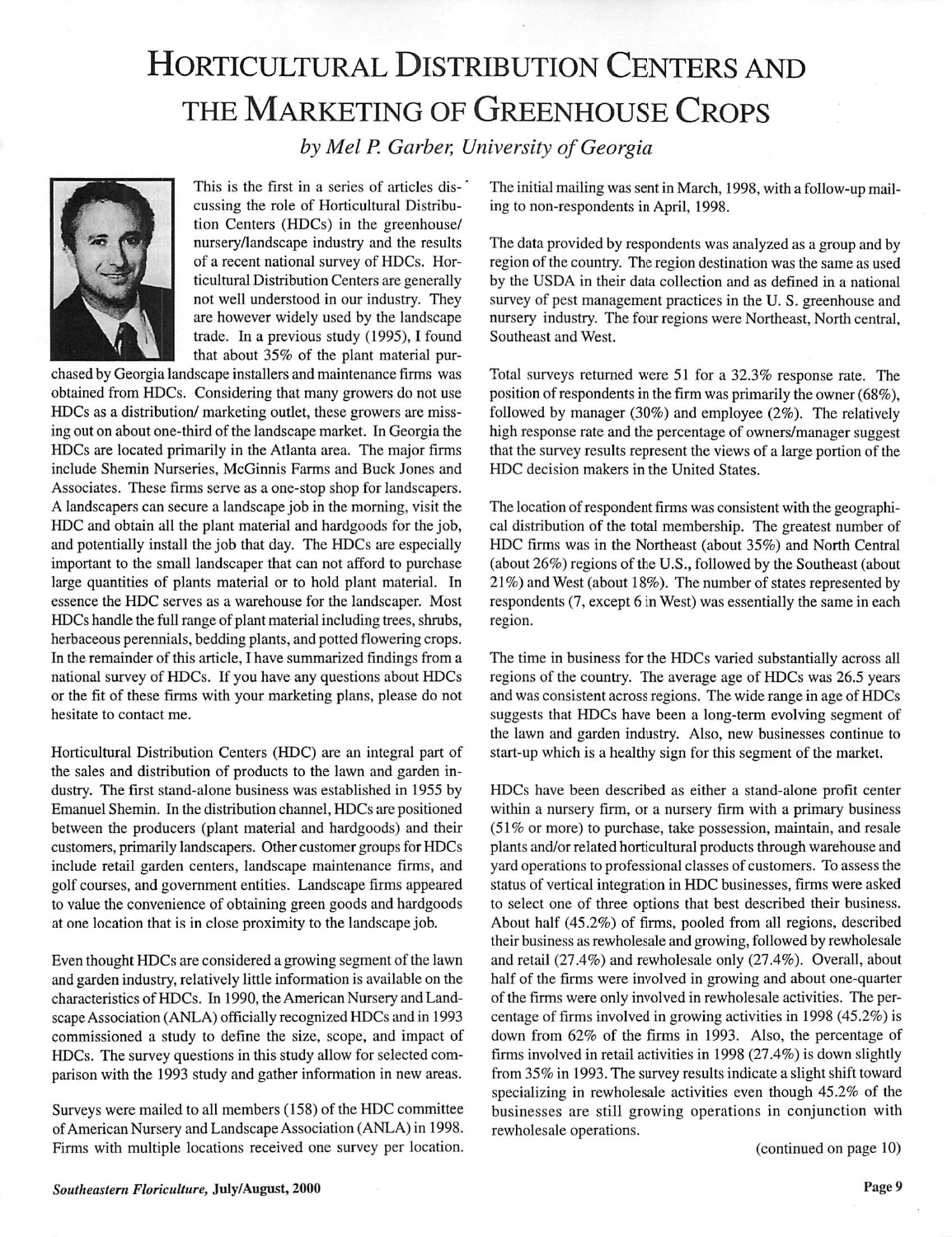## HORTICULTURAL DISTRIBUTION CENTERS AND the Marketing of Greenhouse Crops

**by Mel P. Garber, University ofGeorgia**



This is the first in a series of articles dis-' cussing the role of Horticultural Distribu tion Centers (HDCs) in the greenhouse/ nursery/landscape industry and the results of a recent national survey of HDCs. Hor ticultural Distribution Centers are generally not well understood in our industry. They are however widely used by the landscape trade. In a previous study (1995), I found that about 35% of the plant material pur

chased by Georgia landscape installers and maintenance firms was obtained from HDCs. Considering that many growers do not use HDCs as a distribution/ marketing outlet, these growers are miss ing out on about one-third of the landscape market. In Georgia the HDCs are located primarily in the Atlanta area. The major firms include Shemin Nurseries, McGinnis Farms and Buck Jones and Associates. These firms serve as a one-stop shop for landscapers. A landscapers can secure a landscape job in the morning, visit the HDC and obtain all the plant material and hardgoods for the job, and potentially install the job that day. The HDCs are especially important to the small landscaper that can not afford to purchase large quantities of plants material or to hold plant material. In essence the HDC serves as a warehouse for the landscaper. Most HDCs handle the full range of plant material including trees, shrubs, herbaceous perennials, bedding plants, and potted flowering crops. In the remainder of this article, I have summarized findings from a national survey of HDCs. If you have any questions about HDCs or the fit of these firms with your marketing plans, please do not hesitate to contact me.

Horticultural Distribution Centers (HDC) are an integral part of the sales and distribution of products to the lawn and garden in dustry. The first stand-alone business was established in 1955 by Emanuel Shemin. In the distribution channel, HDCs are positioned between the producers (plant material and hardgoods) and their customers, primarily landscapers. Other customer groups for HDCs include retail garden centers, landscape maintenance firms, and golf courses, and government entities. Landscape firms appeared to value the convenience of obtaining green goods and hardgoods at one location that is in close proximity to the landscape job.

Even thought HDCs are considered a growing segment of the lawn and garden industry, relatively little information is available on the characteristics of HDCs. In 1990, the American Nursery and Landscape Association (ANLA) officially recognized HDCs and in 1993 commissioned a study to define the size, scope, and impact of HDCs. The survey questions in this study allow for selected com parison with the 1993 study and gather information in new areas.

Surveys were mailed to all members (158) of the HDC committee of American Nursery and Landscape Association (ANLA) in 1998. Firms with multiple locations received one survey per location.

The initial mailing was sent in March, 1998, with a follow-up mailing to non-respondents in April, 1998.

The data provided by respondents was analyzed as a group and by region of the country. The region destination was the same as used by the USDA in their data collection and as defined in a national survey of pest management practices in the U. S. greenhouse and nursery industry. The four regions were Northeast, North central, Southeast and West.

Total surveys returned were 51 for a 32.3% response rate. The position of respondents in the firm was primarily the owner (68%), followed by manager (30%) and employee (2%). The relatively high response rate and the percentage of owners/manager suggest that the survey results represent the views of a large portion of the HDC decision makers in the United States.

The location of respondent firms was consistent with the geographi cal distribution of the total membership. The greatest number of HDC firms was in the Northeast (about 35%) and North Central (about  $26\%$ ) regions of the U.S., followed by the Southeast (about  $21\%$ ) and West (about 18%). The number of states represented by respondents (7, except 6 in West) was essentially the same in each region.

The time in business for the HDCs varied substantially across all regions of the country. The average age of HDCs was 26.5 years and was consistent across regions. The wide range in age of HDCs suggests that HDCs have been a long-term evolving segment of the lawn and garden industry. Also, new businesses continue to start-up which is a healthy sign for this segment of the market.

HDCs have been described as either a stand-alone profit center within a nursery firm, or a nursery firm with a primary business (51% or more) to purchase, take possession, maintain, and resale plants and/or related horticultural products through warehouse and yard operations to professional classes of customers. To assess the status of vertical integration in HDC businesses, firms were asked to select one of three options that best described their business. About half (45.2%) of firms, pooled from all regions, described their business as rewholesale and growing, followed by rewholesale and retail (27.4%) and rewholesale only (27.4%). Overall, about half of the firms were involved in growing and about one-quarter of the firms were only involved in rewholesale activities. The per centage of firms involved in growing activities in 1998 (45.2%) is down from 62% of the firms in 1993. Also, the percentage of firms involved in retail activities in 1998 (27.4%) is down slightly from 35% in 1993.The survey results indicate a slight shift toward specializing in rewholesale activities even though 45.2% of the businesses are still growing operations in conjunction with rewholesale operations.

(continued on page 10)